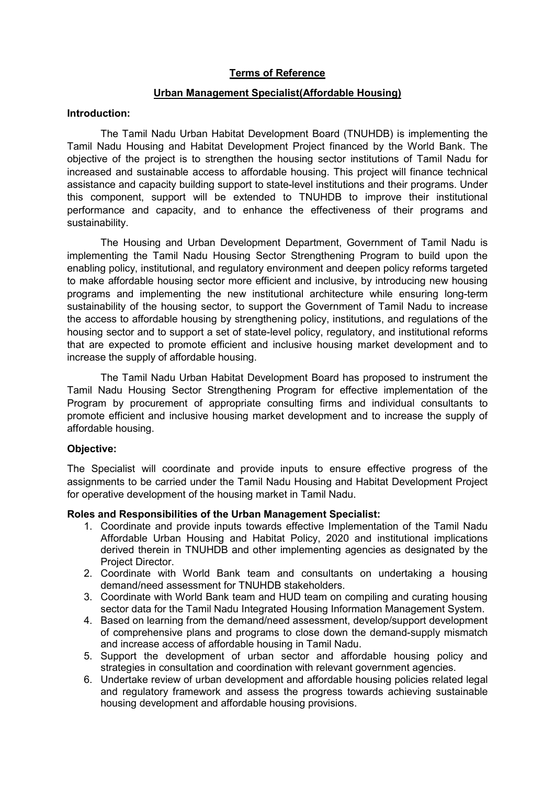## Terms of Reference

## Urban Management Specialist(Affordable Housing)

### Introduction:

The Tamil Nadu Urban Habitat Development Board (TNUHDB) is implementing the Tamil Nadu Housing and Habitat Development Project financed by the World Bank. The objective of the project is to strengthen the housing sector institutions of Tamil Nadu for increased and sustainable access to affordable housing. This project will finance technical assistance and capacity building support to state-level institutions and their programs. Under this component, support will be extended to TNUHDB to improve their institutional performance and capacity, and to enhance the effectiveness of their programs and sustainability.

The Housing and Urban Development Department, Government of Tamil Nadu is implementing the Tamil Nadu Housing Sector Strengthening Program to build upon the enabling policy, institutional, and regulatory environment and deepen policy reforms targeted to make affordable housing sector more efficient and inclusive, by introducing new housing programs and implementing the new institutional architecture while ensuring long-term sustainability of the housing sector, to support the Government of Tamil Nadu to increase the access to affordable housing by strengthening policy, institutions, and regulations of the housing sector and to support a set of state-level policy, regulatory, and institutional reforms that are expected to promote efficient and inclusive housing market development and to increase the supply of affordable housing.

 The Tamil Nadu Urban Habitat Development Board has proposed to instrument the Tamil Nadu Housing Sector Strengthening Program for effective implementation of the Program by procurement of appropriate consulting firms and individual consultants to promote efficient and inclusive housing market development and to increase the supply of affordable housing.

## Objective:

The Specialist will coordinate and provide inputs to ensure effective progress of the assignments to be carried under the Tamil Nadu Housing and Habitat Development Project for operative development of the housing market in Tamil Nadu.

## Roles and Responsibilities of the Urban Management Specialist:

- 1. Coordinate and provide inputs towards effective Implementation of the Tamil Nadu Affordable Urban Housing and Habitat Policy, 2020 and institutional implications derived therein in TNUHDB and other implementing agencies as designated by the Project Director.
- 2. Coordinate with World Bank team and consultants on undertaking a housing demand/need assessment for TNUHDB stakeholders.
- 3. Coordinate with World Bank team and HUD team on compiling and curating housing sector data for the Tamil Nadu Integrated Housing Information Management System.
- 4. Based on learning from the demand/need assessment, develop/support development of comprehensive plans and programs to close down the demand-supply mismatch and increase access of affordable housing in Tamil Nadu.
- 5. Support the development of urban sector and affordable housing policy and strategies in consultation and coordination with relevant government agencies.
- 6. Undertake review of urban development and affordable housing policies related legal and regulatory framework and assess the progress towards achieving sustainable housing development and affordable housing provisions.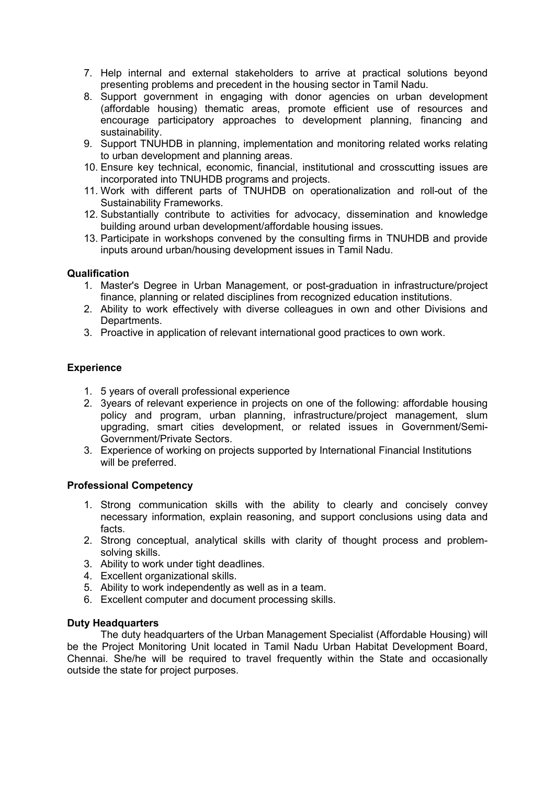7. Help internal and external stakeholders to arrive at practical solutions beyond presenting problems and precedent in the housing sector in Tamil Nadu.

- 8. Support government in engaging with donor agencies on urban development (affordable housing) thematic areas, promote efficient use of resources and encourage participatory approaches to development planning, financing and sustainability.
- 9. Support TNUHDB in planning, implementation and monitoring related works relating to urban development and planning areas.
- 10. Ensure key technical, economic, financial, institutional and crosscutting issues are incorporated into TNUHDB programs and projects.
- 11. Work with different parts of TNUHDB on operationalization and roll-out of the Sustainability Frameworks.
- 12. Substantially contribute to activities for advocacy, dissemination and knowledge building around urban development/affordable housing issues.
- 13. Participate in workshops convened by the consulting firms in TNUHDB and provide inputs around urban/housing development issues in Tamil Nadu.

## **Qualification**

- 1. Master's Degree in Urban Management, or post-graduation in infrastructure/project finance, planning or related disciplines from recognized education institutions.
- 2. Ability to work effectively with diverse colleagues in own and other Divisions and Departments.
- 3. Proactive in application of relevant international good practices to own work.

### **Experience**

- 1. 5 years of overall professional experience
- 2. 3years of relevant experience in projects on one of the following: affordable housing policy and program, urban planning, infrastructure/project management, slum upgrading, smart cities development, or related issues in Government/Semi-Government/Private Sectors.
- 3. Experience of working on projects supported by International Financial Institutions will be preferred.

## Professional Competency

- 1. Strong communication skills with the ability to clearly and concisely convey necessary information, explain reasoning, and support conclusions using data and facts.
- 2. Strong conceptual, analytical skills with clarity of thought process and problemsolving skills.
- 3. Ability to work under tight deadlines.
- 4. Excellent organizational skills.
- 5. Ability to work independently as well as in a team.
- 6. Excellent computer and document processing skills.

#### Duty Headquarters

The duty headquarters of the Urban Management Specialist (Affordable Housing) will be the Project Monitoring Unit located in Tamil Nadu Urban Habitat Development Board, Chennai. She/he will be required to travel frequently within the State and occasionally outside the state for project purposes.